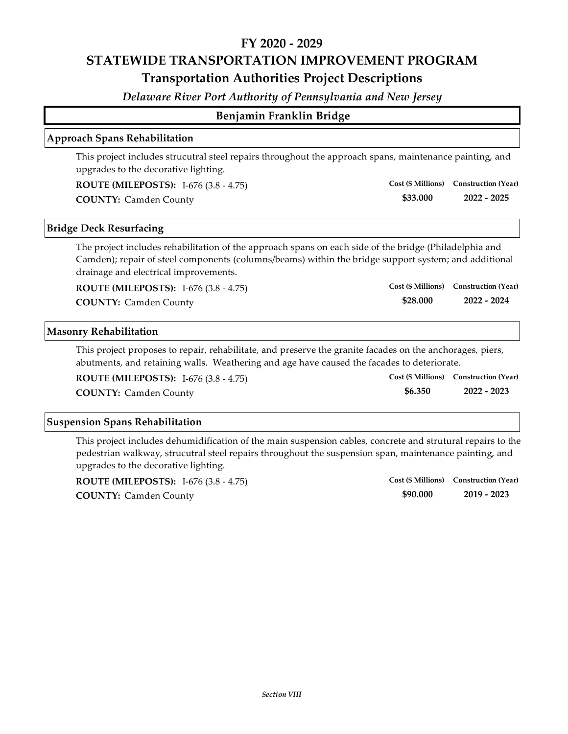*Delaware River Port Authority of Pennsylvania and New Jersey*

## **Benjamin Franklin Bridge**

### **Approach Spans Rehabilitation**

This project includes strucutral steel repairs throughout the approach spans, maintenance painting, and upgrades to the decorative lighting.

| <b>ROUTE (MILEPOSTS):</b> I-676 (3.8 - 4.75) |          | Cost (\$ Millions) Construction (Year) |
|----------------------------------------------|----------|----------------------------------------|
| <b>COUNTY: Camden County</b>                 | \$33.000 | 2022 - 2025                            |

### **Bridge Deck Resurfacing**

The project includes rehabilitation of the approach spans on each side of the bridge (Philadelphia and Camden); repair of steel components (columns/beams) within the bridge support system; and additional drainage and electrical improvements.

**ROUTE (MILEPOSTS):** I‐676 (3.8 ‐ 4.75)

### **\$28.000 COUNTY: 2022 ‐ 2024** Camden County

**Cost (\$ Millions) Construction (Year)**

### **Masonry Rehabilitation**

This project proposes to repair, rehabilitate, and preserve the granite facades on the anchorages, piers, abutments, and retaining walls. Weathering and age have caused the facades to deteriorate.

| <b>ROUTE (MILEPOSTS):</b> I-676 $(3.8 - 4.75)$ |         | Cost (\$ Millions) Construction (Year) |
|------------------------------------------------|---------|----------------------------------------|
| <b>COUNTY: Camden County</b>                   | \$6.350 | 2022 - 2023                            |

### **Suspension Spans Rehabilitation**

This project includes dehumidification of the main suspension cables, concrete and strutural repairs to the pedestrian walkway, strucutral steel repairs throughout the suspension span, maintenance painting, and upgrades to the decorative lighting.

| <b>ROUTE (MILEPOSTS):</b> I-676 (3.8 - 4.75) |          | Cost (\$ Millions) Construction (Year) |
|----------------------------------------------|----------|----------------------------------------|
| <b>COUNTY: Camden County</b>                 | \$90,000 | 2019 - 2023                            |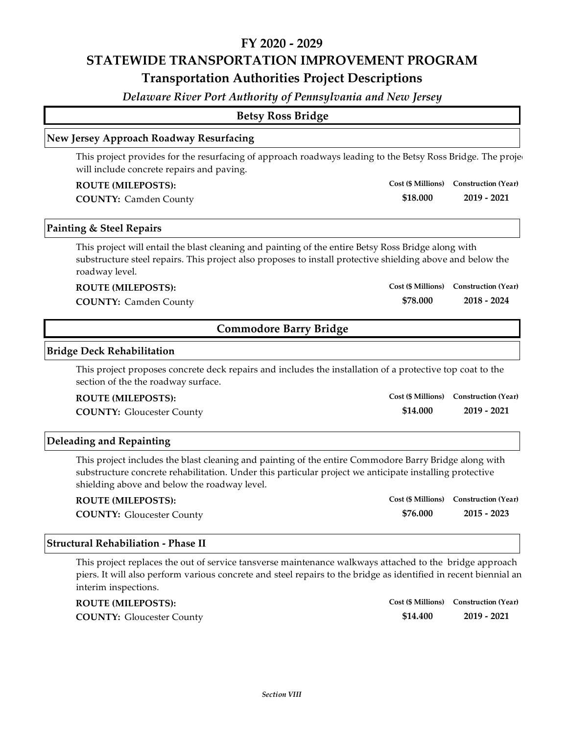*Delaware River Port Authority of Pennsylvania and New Jersey*

|                                                                                                                                                                                                                                                                  | <b>Betsy Ross Bridge</b>      |                                        |
|------------------------------------------------------------------------------------------------------------------------------------------------------------------------------------------------------------------------------------------------------------------|-------------------------------|----------------------------------------|
| New Jersey Approach Roadway Resurfacing                                                                                                                                                                                                                          |                               |                                        |
| This project provides for the resurfacing of approach roadways leading to the Betsy Ross Bridge. The proje-<br>will include concrete repairs and paving.                                                                                                         |                               |                                        |
| <b>ROUTE (MILEPOSTS):</b>                                                                                                                                                                                                                                        |                               | Cost (\$ Millions) Construction (Year) |
| <b>COUNTY: Camden County</b>                                                                                                                                                                                                                                     | \$18.000                      | $2019 - 2021$                          |
| Painting & Steel Repairs                                                                                                                                                                                                                                         |                               |                                        |
| This project will entail the blast cleaning and painting of the entire Betsy Ross Bridge along with<br>substructure steel repairs. This project also proposes to install protective shielding above and below the<br>roadway level.                              |                               |                                        |
| <b>ROUTE (MILEPOSTS):</b>                                                                                                                                                                                                                                        |                               | Cost (\$ Millions) Construction (Year) |
| <b>COUNTY: Camden County</b>                                                                                                                                                                                                                                     | \$78.000                      | $2018 - 2024$                          |
|                                                                                                                                                                                                                                                                  | <b>Commodore Barry Bridge</b> |                                        |
| <b>Bridge Deck Rehabilitation</b>                                                                                                                                                                                                                                |                               |                                        |
| This project proposes concrete deck repairs and includes the installation of a protective top coat to the<br>section of the the roadway surface.                                                                                                                 |                               |                                        |
| <b>ROUTE (MILEPOSTS):</b>                                                                                                                                                                                                                                        |                               | Cost (\$ Millions) Construction (Year) |
| <b>COUNTY: Gloucester County</b>                                                                                                                                                                                                                                 | \$14.000                      | $2019 - 2021$                          |
| <b>Deleading and Repainting</b>                                                                                                                                                                                                                                  |                               |                                        |
| This project includes the blast cleaning and painting of the entire Commodore Barry Bridge along with<br>substructure concrete rehabilitation. Under this particular project we anticipate installing protective<br>shielding above and below the roadway level. |                               |                                        |

| <b>ROUTE (MILEPOSTS):</b>        |          | Cost (\$ Millions) Construction (Year) |
|----------------------------------|----------|----------------------------------------|
| <b>COUNTY: Gloucester County</b> | \$76.000 | $2015 - 2023$                          |

## **Structural Rehabiliation ‐ Phase II**

This project replaces the out of service tansverse maintenance walkways attached to the bridge approach piers. It will also perform various concrete and steel repairs to the bridge as identified in recent biennial an interim inspections.

| <b>ROUTE (MILEPOSTS):</b>        |          | Cost (\$ Millions) Construction (Year) |
|----------------------------------|----------|----------------------------------------|
| <b>COUNTY:</b> Gloucester County | \$14.400 | 2019 - 2021                            |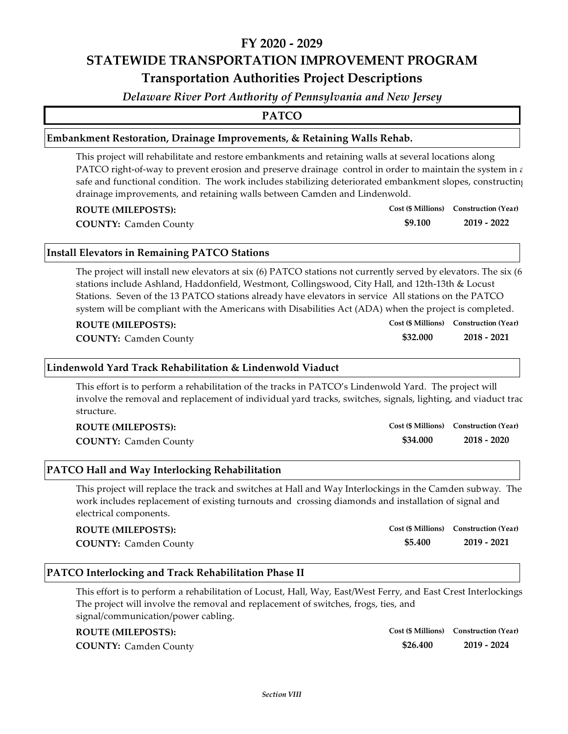*Delaware River Port Authority of Pennsylvania and New Jersey*

**PATCO**

### **Embankment Restoration, Drainage Improvements, & Retaining Walls Rehab.**

This project will rehabilitate and restore embankments and retaining walls at several locations along PATCO right-of-way to prevent erosion and preserve drainage control in order to maintain the system in  $\varepsilon$ safe and functional condition. The work includes stabilizing deteriorated embankment slopes, constructing drainage improvements, and retaining walls between Camden and Lindenwold.

**ROUTE (MILEPOSTS):**

**COUNTY: 2019 ‐ 2022** Camden County

### **Install Elevators in Remaining PATCO Stations**

The project will install new elevators at six (6) PATCO stations not currently served by elevators. The six (6 stations include Ashland, Haddonfield, Westmont, Collingswood, City Hall, and 12th‐13th & Locust Stations. Seven of the 13 PATCO stations already have elevators in service All stations on the PATCO system will be compliant with the Americans with Disabilities Act (ADA) when the project is completed.

**COUNTY: 2018 ‐ 2021** Camden County

### **Lindenwold Yard Track Rehabilitation & Lindenwold Viaduct**

This effort is to perform a rehabilitation of the tracks in PATCO's Lindenwold Yard. The project will involve the removal and replacement of individual yard tracks, switches, signals, lighting, and viaduct trac structure.

| <b>ROUTE (MILEPOSTS):</b>    |          | Cost (\$ Millions) Construction (Year) |
|------------------------------|----------|----------------------------------------|
| <b>COUNTY: Camden County</b> | \$34.000 | 2018 - 2020                            |

### **PATCO Hall and Way Interlocking Rehabilitation**

This project will replace the track and switches at Hall and Way Interlockings in the Camden subway. The work includes replacement of existing turnouts and crossing diamonds and installation of signal and electrical components.

#### **ROUTE (MILEPOSTS):**

**COUNTY: 2019 ‐ 2021** Camden County

### **PATCO Interlocking and Track Rehabilitation Phase II**

This effort is to perform a rehabilitation of Locust, Hall, Way, East/West Ferry, and East Crest Interlockings The project will involve the removal and replacement of switches, frogs, ties, and signal/communication/power cabling.

### **ROUTE (MILEPOSTS):**

**COUNTY: 2019 ‐ 2024** Camden County

**\$26.400 Cost (\$ Millions) Construction (Year)**

**Cost (\$ Millions) Construction (Year)**

**\$5.400**

**\$32.000 Cost (\$ Millions) Construction (Year)**

**Cost (\$ Millions) Construction (Year)**

**\$9.100**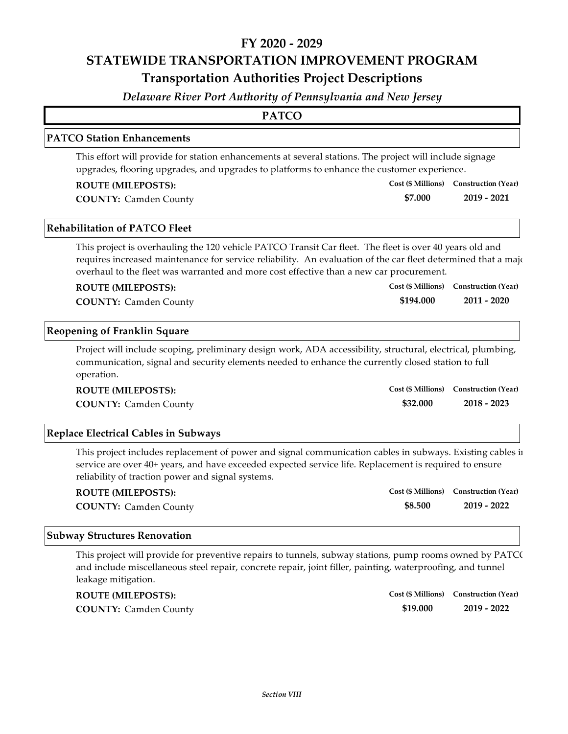*Delaware River Port Authority of Pennsylvania and New Jersey*

### **PATCO Station Enhancements**

This effort will provide for station enhancements at several stations. The project will include signage upgrades, flooring upgrades, and upgrades to platforms to enhance the customer experience.

### **ROUTE (MILEPOSTS):**

**COUNTY: 2019 ‐ 2021** Camden County

### **Rehabilitation of PATCO Fleet**

This project is overhauling the 120 vehicle PATCO Transit Car fleet. The fleet is over 40 years old and requires increased maintenance for service reliability. An evaluation of the car fleet determined that a majour overhaul to the fleet was warranted and more cost effective than a new car procurement.

**\$7.000**

**\$194.000**

**Cost (\$ Millions) Construction (Year)**

**Cost (\$ Millions) Construction (Year)**

#### **ROUTE (MILEPOSTS):**

**COUNTY: 2011 ‐ 2020** Camden County

### **Reopening of Franklin Square**

Project will include scoping, preliminary design work, ADA accessibility, structural, electrical, plumbing, communication, signal and security elements needed to enhance the currently closed station to full operation.

| <b>ROUTE (MILEPOSTS):</b>    |          | Cost (\$ Millions) Construction (Year) |
|------------------------------|----------|----------------------------------------|
| <b>COUNTY: Camden County</b> | \$32.000 | $2018 - 2023$                          |

### **Replace Electrical Cables in Subways**

This project includes replacement of power and signal communication cables in subways. Existing cables in service are over 40+ years, and have exceeded expected service life. Replacement is required to ensure reliability of traction power and signal systems.

| <b>ROUTE (MILEPOSTS):</b>    |         | Cost (\$ Millions) Construction (Year) |
|------------------------------|---------|----------------------------------------|
| <b>COUNTY: Camden County</b> | \$8.500 | 2019 - 2022                            |

#### **Subway Structures Renovation**

This project will provide for preventive repairs to tunnels, subway stations, pump rooms owned by PATCO and include miscellaneous steel repair, concrete repair, joint filler, painting, waterproofing, and tunnel leakage mitigation.

| <b>ROUTE (MILEPOSTS):</b>    |          | Cost (\$ Millions) Construction (Year) |
|------------------------------|----------|----------------------------------------|
| <b>COUNTY: Camden County</b> | \$19.000 | $2019 - 2022$                          |